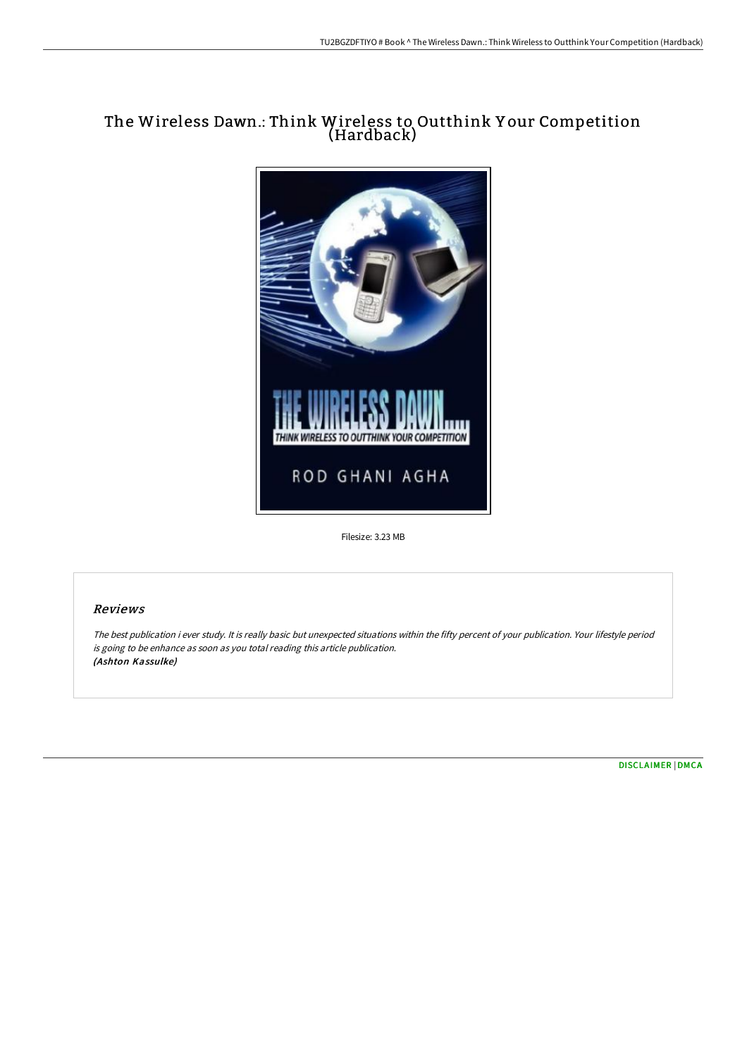# The Wireless Dawn.: Think Wireless to Outthink Y our Competition (Hardback)



Filesize: 3.23 MB

## Reviews

The best publication i ever study. It is really basic but unexpected situations within the fifty percent of your publication. Your lifestyle period is going to be enhance as soon as you total reading this article publication. (Ashton Kassulke)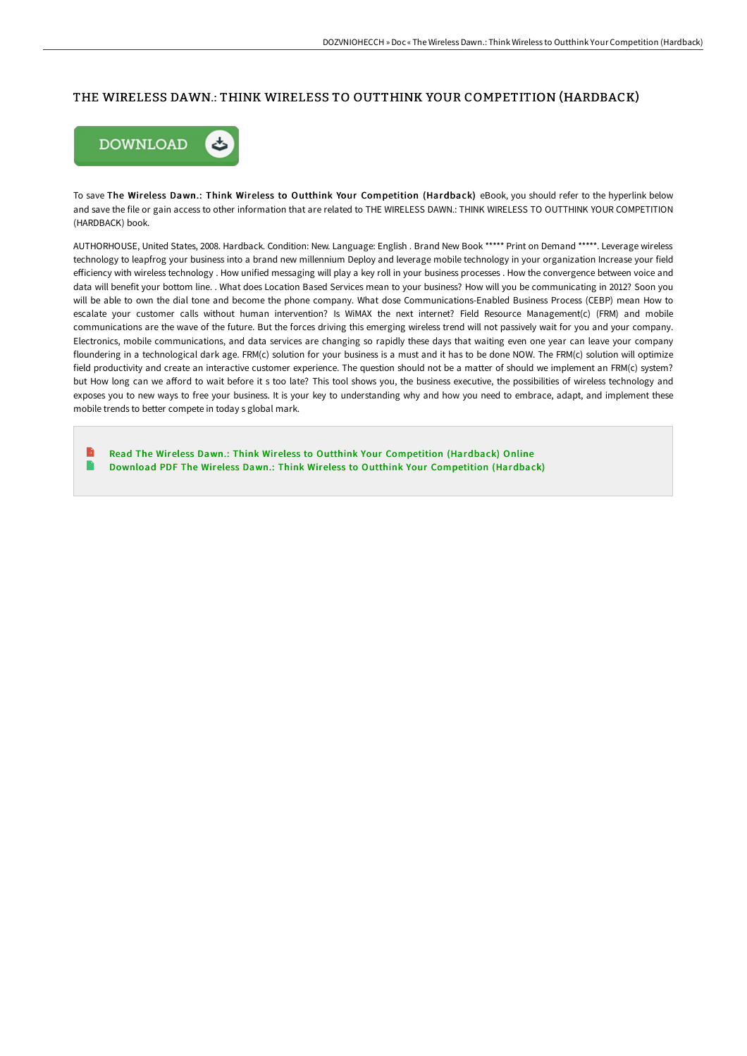#### THE WIRELESS DAWN.: THINK WIRELESS TO OUTTHINK YOUR COMPETITION (HARDBACK)



To save The Wireless Dawn.: Think Wireless to Outthink Your Competition (Hardback) eBook, you should refer to the hyperlink below and save the file or gain access to other information that are related to THE WIRELESS DAWN.: THINK WIRELESS TO OUTTHINK YOUR COMPETITION (HARDBACK) book.

AUTHORHOUSE, United States, 2008. Hardback. Condition: New. Language: English . Brand New Book \*\*\*\*\* Print on Demand \*\*\*\*\*. Leverage wireless technology to leapfrog your business into a brand new millennium Deploy and leverage mobile technology in your organization Increase your field efficiency with wireless technology . How unified messaging will play a key roll in your business processes . How the convergence between voice and data will benefit your bottom line. . What does Location Based Services mean to your business? How will you be communicating in 2012? Soon you will be able to own the dial tone and become the phone company. What dose Communications-Enabled Business Process (CEBP) mean How to escalate your customer calls without human intervention? Is WiMAX the next internet? Field Resource Management(c) (FRM) and mobile communications are the wave of the future. But the forces driving this emerging wireless trend will not passively wait for you and your company. Electronics, mobile communications, and data services are changing so rapidly these days that waiting even one year can leave your company floundering in a technological dark age. FRM(c) solution for your business is a must and it has to be done NOW. The FRM(c) solution will optimize field productivity and create an interactive customer experience. The question should not be a matter of should we implement an FRM(c) system? but How long can we afford to wait before it s too late? This tool shows you, the business executive, the possibilities of wireless technology and exposes you to new ways to free your business. It is your key to understanding why and how you need to embrace, adapt, and implement these mobile trends to better compete in today s global mark.

B Read The Wireless Dawn.: Think Wireless to Outthink Your [Competition](http://www.bookdirs.com/the-wireless-dawn-think-wireless-to-outthink-you-1.html) (Hardback) Online  $\blacksquare$ Download PDF The Wireless Dawn.: Think Wireless to Outthink Your [Competition](http://www.bookdirs.com/the-wireless-dawn-think-wireless-to-outthink-you-1.html) (Hardback)